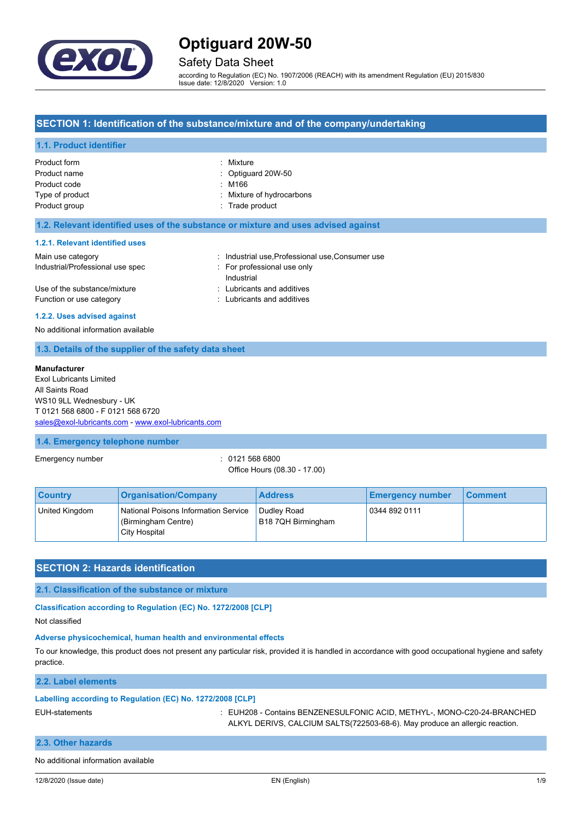

## Safety Data Sheet

according to Regulation (EC) No. 1907/2006 (REACH) with its amendment Regulation (EU) 2015/830 Issue date: 12/8/2020 Version: 1.0

### **SECTION 1: Identification of the substance/mixture and of the company/undertaking**

### **1.1. Product identifier**

| Product form    | : Mixture                     |
|-----------------|-------------------------------|
| Product name    | $\therefore$ Optiguard 20W-50 |
| Product code    | : M166                        |
| Type of product | : Mixture of hydrocarbons     |
| Product group   | : Trade product               |

#### **1.2. Relevant identified uses of the substance or mixture and uses advised against**

#### **1.2.1. Relevant identified uses**

| Main use category                | : Industrial use Professional use Consumer use |
|----------------------------------|------------------------------------------------|
| Industrial/Professional use spec | : For professional use only                    |
|                                  | Industrial                                     |
| Use of the substance/mixture     | : Lubricants and additives                     |
| Function or use category         | : Lubricants and additives                     |

#### **1.2.2. Uses advised against**

No additional information available

#### **1.3. Details of the supplier of the safety data sheet**

#### **Manufacturer**

Exol Lubricants Limited All Saints Road WS10 9LL Wednesbury - UK T 0121 568 6800 - F 0121 568 6720 [sales@exol-lubricants.com](mailto:sales@exol-lubricants.com) - <www.exol-lubricants.com>

#### **1.4. Emergency telephone number**

Emergency number : 0121 568 6800

Office Hours (08.30 - 17.00)

| <b>Country</b> | <b>Organisation/Company</b>                                                  | <b>Address</b>                    | <b>Emergency number</b> | <b>Comment</b> |
|----------------|------------------------------------------------------------------------------|-----------------------------------|-------------------------|----------------|
| United Kingdom | National Poisons Information Service<br>(Birmingham Centre)<br>City Hospital | Dudley Road<br>B18 7QH Birmingham | 0344 892 0111           |                |

### **SECTION 2: Hazards identification**

**2.1. Classification of the substance or mixture**

**Classification according to Regulation (EC) No. 1272/2008 [CLP]**

Not classified

### **Adverse physicochemical, human health and environmental effects**

To our knowledge, this product does not present any particular risk, provided it is handled in accordance with good occupational hygiene and safety practice.

**2.2. Label elements**

## **Labelling according to Regulation (EC) No. 1272/2008 [CLP]**

EUH-statements : EUH208 - Contains BENZENESULFONIC ACID, METHYL-, MONO-C20-24-BRANCHED ALKYL DERIVS, CALCIUM SALTS(722503-68-6). May produce an allergic reaction.

### **2.3. Other hazards**

No additional information available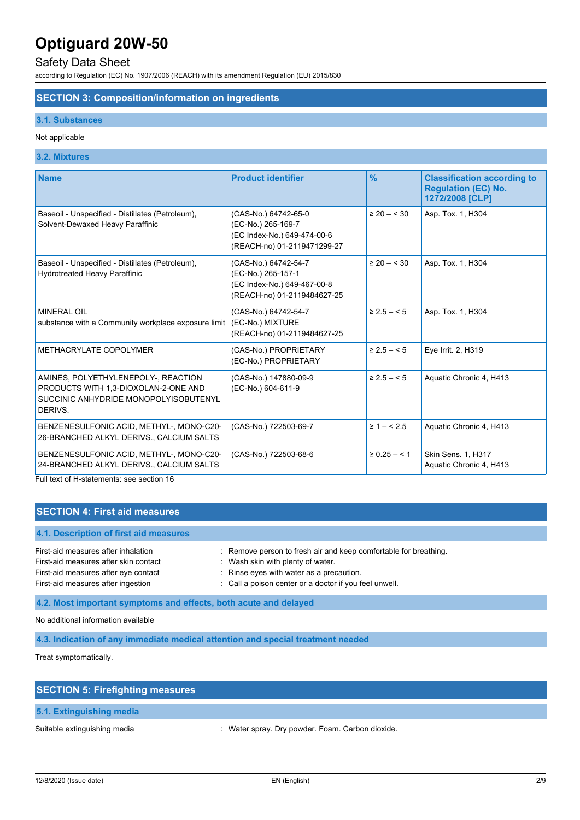## Safety Data Sheet

according to Regulation (EC) No. 1907/2006 (REACH) with its amendment Regulation (EU) 2015/830

### **SECTION 3: Composition/information on ingredients**

#### **3.1. Substances**

#### Not applicable

### **3.2. Mixtures**

| <b>Name</b>                                                                                                                     | <b>Product identifier</b>                                                                                | $\frac{9}{6}$    | <b>Classification according to</b><br><b>Regulation (EC) No.</b><br>1272/2008 [CLP] |
|---------------------------------------------------------------------------------------------------------------------------------|----------------------------------------------------------------------------------------------------------|------------------|-------------------------------------------------------------------------------------|
| Baseoil - Unspecified - Distillates (Petroleum),<br>Solvent-Dewaxed Heavy Paraffinic                                            | (CAS-No.) 64742-65-0<br>(EC-No.) 265-169-7<br>(EC Index-No.) 649-474-00-6<br>(REACH-no) 01-2119471299-27 | $\geq 20 - 530$  | Asp. Tox. 1, H304                                                                   |
| Baseoil - Unspecified - Distillates (Petroleum),<br><b>Hydrotreated Heavy Paraffinic</b>                                        | (CAS-No.) 64742-54-7<br>(EC-No.) 265-157-1<br>(EC Index-No.) 649-467-00-8<br>(REACH-no) 01-2119484627-25 | $\geq 20 - 530$  | Asp. Tox. 1, H304                                                                   |
| <b>MINERAL OIL</b><br>substance with a Community workplace exposure limit                                                       | (CAS-No.) 64742-54-7<br>(EC-No.) MIXTURE<br>(REACH-no) 01-2119484627-25                                  | $\geq 2.5 - 5$   | Asp. Tox. 1, H304                                                                   |
| METHACRYLATE COPOLYMER                                                                                                          | (CAS-No.) PROPRIETARY<br>(EC-No.) PROPRIETARY                                                            | $\geq 2.5 - 5$   | Eye Irrit. 2, H319                                                                  |
| AMINES, POLYETHYLENEPOLY-, REACTION<br>PRODUCTS WITH 1,3-DIOXOLAN-2-ONE AND<br>SUCCINIC ANHYDRIDE MONOPOLYISOBUTENYL<br>DERIVS. | (CAS-No.) 147880-09-9<br>(EC-No.) 604-611-9                                                              | $\geq$ 2.5 – < 5 | Aquatic Chronic 4, H413                                                             |
| BENZENESULFONIC ACID, METHYL-, MONO-C20-<br>26-BRANCHED ALKYL DERIVS., CALCIUM SALTS                                            | (CAS-No.) 722503-69-7                                                                                    | $\geq 1 - 5.5$   | Aquatic Chronic 4, H413                                                             |
| BENZENESULFONIC ACID, METHYL-, MONO-C20-<br>24-BRANCHED ALKYL DERIVS., CALCIUM SALTS                                            | (CAS-No.) 722503-68-6                                                                                    | $\geq 0.25 - 1$  | Skin Sens. 1, H317<br>Aquatic Chronic 4, H413                                       |
| Full text of H-statements: see section 16                                                                                       |                                                                                                          |                  |                                                                                     |

## **SECTION 4: First aid measures**

### **4.1. Description of first aid measures**

| : Remove person to fresh air and keep comfortable for breathing. |
|------------------------------------------------------------------|
| Wash skin with plenty of water.                                  |
| : Rinse eyes with water as a precaution.                         |
| : Call a poison center or a doctor if you feel unwell.           |
|                                                                  |

**4.2. Most important symptoms and effects, both acute and delayed**

No additional information available

**4.3. Indication of any immediate medical attention and special treatment needed**

Treat symptomatically.

| <b>SECTION 5: Firefighting measures</b> |  |  |
|-----------------------------------------|--|--|
| 5.1. Extinguishing media                |  |  |

Suitable extinguishing media : Water spray. Dry powder. Foam. Carbon dioxide.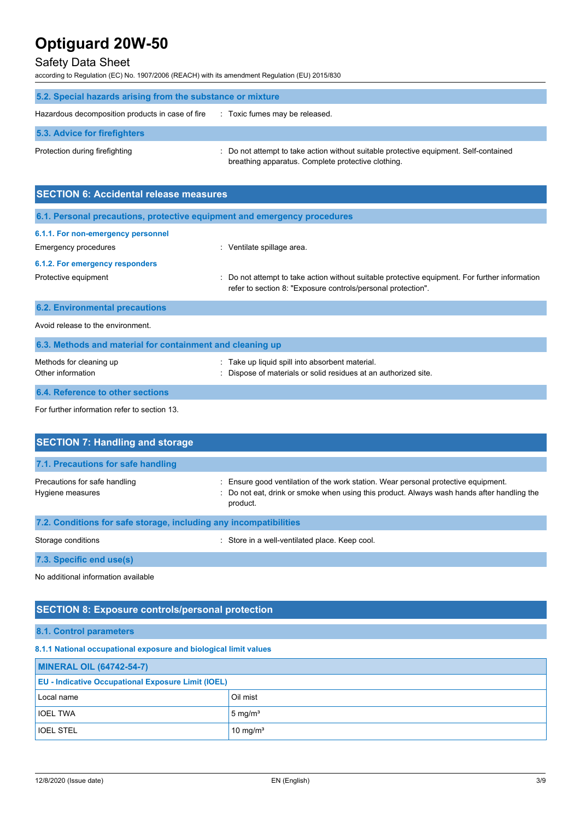## Safety Data Sheet

according to Regulation (EC) No. 1907/2006 (REACH) with its amendment Regulation (EU) 2015/830

| 5.2. Special hazards arising from the substance or mixture |                                                                                                                                             |  |  |
|------------------------------------------------------------|---------------------------------------------------------------------------------------------------------------------------------------------|--|--|
| Hazardous decomposition products in case of fire           | : Toxic fumes may be released.                                                                                                              |  |  |
| 5.3. Advice for firefighters                               |                                                                                                                                             |  |  |
| Protection during firefighting                             | : Do not attempt to take action without suitable protective equipment. Self-contained<br>breathing apparatus. Complete protective clothing. |  |  |

| <b>SECTION 6: Accidental release measures</b>                            |                                                                                                                                                                |  |  |
|--------------------------------------------------------------------------|----------------------------------------------------------------------------------------------------------------------------------------------------------------|--|--|
| 6.1. Personal precautions, protective equipment and emergency procedures |                                                                                                                                                                |  |  |
| 6.1.1. For non-emergency personnel<br>Emergency procedures               | : Ventilate spillage area.                                                                                                                                     |  |  |
| 6.1.2. For emergency responders<br>Protective equipment                  | : Do not attempt to take action without suitable protective equipment. For further information<br>refer to section 8: "Exposure controls/personal protection". |  |  |
| <b>6.2. Environmental precautions</b>                                    |                                                                                                                                                                |  |  |
| Avoid release to the environment.                                        |                                                                                                                                                                |  |  |
| 6.3. Methods and material for containment and cleaning up                |                                                                                                                                                                |  |  |
| Methods for cleaning up<br>Other information                             | Take up liquid spill into absorbent material.<br>Dispose of materials or solid residues at an authorized site.                                                 |  |  |

## **6.4. Reference to other sections**

For further information refer to section 13.

| <b>SECTION 7: Handling and storage</b>                            |                                                                                                                                                                                            |  |  |  |
|-------------------------------------------------------------------|--------------------------------------------------------------------------------------------------------------------------------------------------------------------------------------------|--|--|--|
| 7.1. Precautions for safe handling                                |                                                                                                                                                                                            |  |  |  |
| Precautions for safe handling<br>Hygiene measures                 | Ensure good ventilation of the work station. Wear personal protective equipment.<br>: Do not eat, drink or smoke when using this product. Always wash hands after handling the<br>product. |  |  |  |
| 7.2. Conditions for safe storage, including any incompatibilities |                                                                                                                                                                                            |  |  |  |
| Storage conditions                                                | : Store in a well-ventilated place. Keep cool.                                                                                                                                             |  |  |  |

**7.3. Specific end use(s)**

No additional information available

## **SECTION 8: Exposure controls/personal protection**

**8.1. Control parameters**

## **8.1.1 National occupational exposure and biological limit values**

| <b>MINERAL OIL (64742-54-7)</b>                           |                      |  |
|-----------------------------------------------------------|----------------------|--|
| <b>EU</b> - Indicative Occupational Exposure Limit (IOEL) |                      |  |
| Local name                                                | Oil mist             |  |
| <b>IOEL TWA</b>                                           | $5 \text{ mg/m}^3$   |  |
| <b>IOEL STEL</b>                                          | 10 mg/m <sup>3</sup> |  |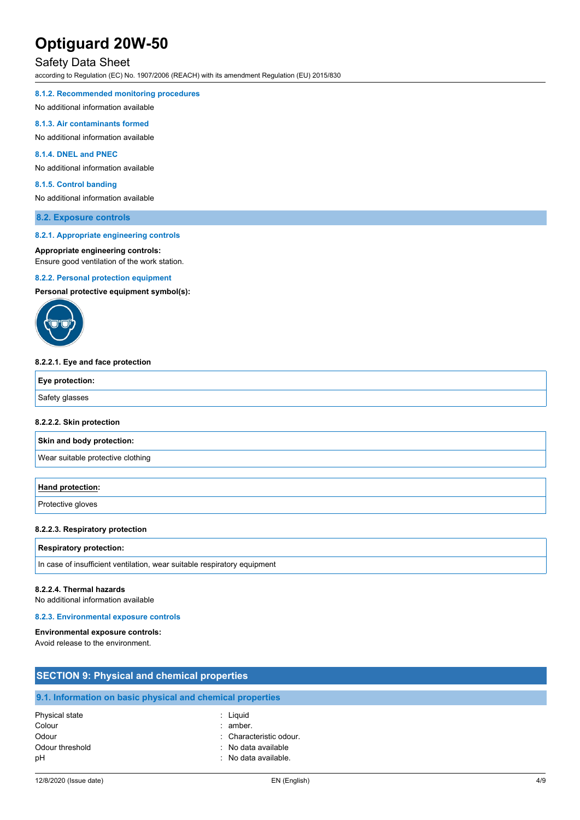## Safety Data Sheet

according to Regulation (EC) No. 1907/2006 (REACH) with its amendment Regulation (EU) 2015/830

#### **8.1.2. Recommended monitoring procedures**

No additional information available

#### **8.1.3. Air contaminants formed**

No additional information available

#### **8.1.4. DNEL and PNEC**

No additional information available

#### **8.1.5. Control banding**

No additional information available

#### **8.2. Exposure controls**

#### **8.2.1. Appropriate engineering controls**

#### **Appropriate engineering controls:**

Ensure good ventilation of the work station.

#### **8.2.2. Personal protection equipment**

**Personal protective equipment symbol(s):**



#### **8.2.2.1. Eye and face protection**

| Eye protection: |  |
|-----------------|--|
| Safety glasses  |  |

#### **8.2.2.2. Skin protection**

**Skin and body protection:**

Wear suitable protective clothing

#### **Hand protection:**

Protective gloves

#### **8.2.2.3. Respiratory protection**

#### **Respiratory protection:**

In case of insufficient ventilation, wear suitable respiratory equipment

#### **8.2.2.4. Thermal hazards**

No additional information available

#### **8.2.3. Environmental exposure controls**

#### **Environmental exposure controls:**

Avoid release to the environment.

| <b>SECTION 9: Physical and chemical properties</b> |                                                            |  |
|----------------------------------------------------|------------------------------------------------------------|--|
|                                                    | 9.1. Information on basic physical and chemical properties |  |
| Physical state<br>Colour<br>Odour                  | : Liguid<br>amber.<br>: Characteristic odour.              |  |
| Odour threshold<br>pH                              | : No data available<br>: No data available.                |  |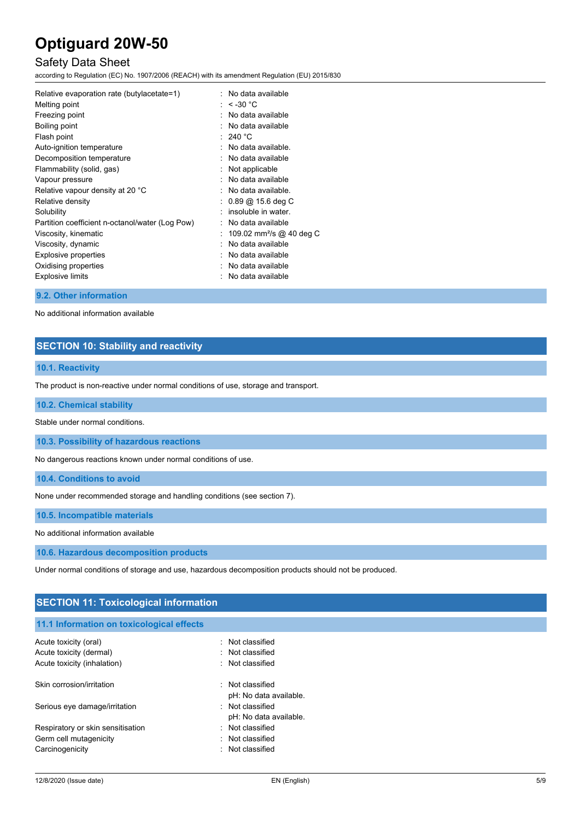## Safety Data Sheet

according to Regulation (EC) No. 1907/2006 (REACH) with its amendment Regulation (EU) 2015/830

| Relative evaporation rate (butylacetate=1)      | : No data available                     |
|-------------------------------------------------|-----------------------------------------|
| Melting point                                   | : $<$ -30 °C                            |
| Freezing point                                  | $\therefore$ No data available          |
| Boiling point                                   | $\therefore$ No data available          |
| Flash point                                     | $:240\text{ }^{\circ}\text{C}$          |
| Auto-ignition temperature                       | : No data available.                    |
| Decomposition temperature                       | $\therefore$ No data available          |
| Flammability (solid, gas)                       | : Not applicable                        |
| Vapour pressure                                 | . No data available                     |
| Relative vapour density at 20 °C                | $\therefore$ No data available.         |
| Relative density                                | $: 0.89 \text{ @ } 15.6 \text{ deg } C$ |
| Solubility                                      | : insoluble in water.                   |
| Partition coefficient n-octanol/water (Log Pow) | $:$ No data available                   |
| Viscosity, kinematic                            | : 109.02 mm <sup>2</sup> /s @ 40 deg C  |
| Viscosity, dynamic                              | . No data available                     |
| Explosive properties                            | $\therefore$ No data available          |
| Oxidising properties                            | $\therefore$ No data available          |
| <b>Explosive limits</b>                         | No data available                       |
|                                                 |                                         |

#### **9.2. Other information**

No additional information available

## **SECTION 10: Stability and reactivity**

## **10.1. Reactivity**

The product is non-reactive under normal conditions of use, storage and transport.

#### **10.2. Chemical stability**

Stable under normal conditions.

**10.3. Possibility of hazardous reactions**

No dangerous reactions known under normal conditions of use.

**10.4. Conditions to avoid**

None under recommended storage and handling conditions (see section 7).

**10.5. Incompatible materials**

No additional information available

**10.6. Hazardous decomposition products**

Under normal conditions of storage and use, hazardous decomposition products should not be produced.

| <b>SECTION 11: Toxicological information</b> |                        |  |
|----------------------------------------------|------------------------|--|
| 11.1 Information on toxicological effects    |                        |  |
| Acute toxicity (oral)                        | : Not classified       |  |
| Acute toxicity (dermal)                      | : Not classified       |  |
| Acute toxicity (inhalation)                  | : Not classified       |  |
| Skin corrosion/irritation                    | : Not classified       |  |
|                                              | pH: No data available. |  |
| Serious eye damage/irritation                | : Not classified       |  |
|                                              | pH: No data available. |  |
| Respiratory or skin sensitisation            | : Not classified       |  |
| Germ cell mutagenicity                       | : Not classified       |  |
| Carcinogenicity                              | : Not classified       |  |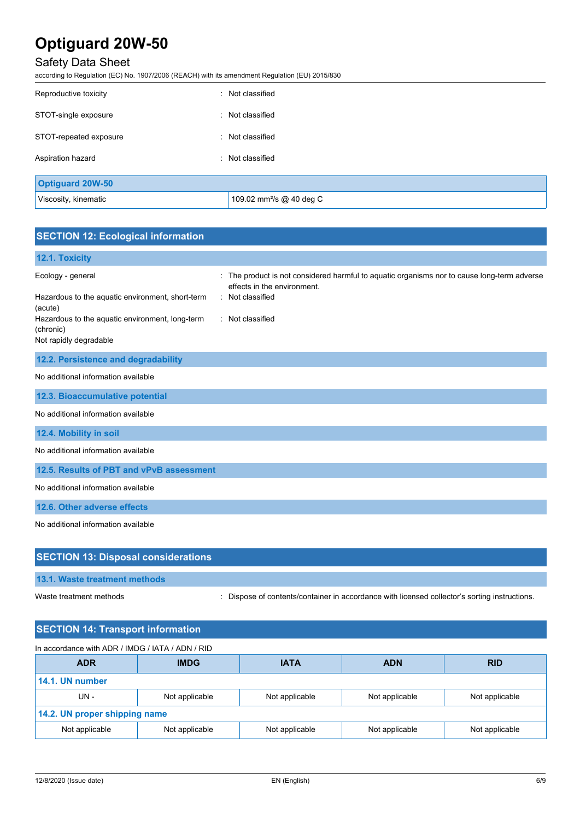## Safety Data Sheet

according to Regulation (EC) No. 1907/2006 (REACH) with its amendment Regulation (EU) 2015/830

| Reproductive toxicity   | : Not classified                     |
|-------------------------|--------------------------------------|
| STOT-single exposure    | : Not classified                     |
| STOT-repeated exposure  | : Not classified                     |
| Aspiration hazard       | : Not classified                     |
| <b>Optiguard 20W-50</b> |                                      |
| Viscosity, kinematic    | 109.02 mm <sup>2</sup> /s @ 40 deg C |

## **SECTION 12: Ecological information**

## **12.1. Toxicity** Ecology - general interval in the product is not considered harmful to aquatic organisms nor to cause long-term adverse effects in the environment. Hazardous to the aquatic environment, short-term (acute) : Not classified Hazardous to the aquatic environment, long-term (chronic) : Not classified Not rapidly degradable **12.2. Persistence and degradability** No additional information available **12.3. Bioaccumulative potential** No additional information available **12.4. Mobility in soil** No additional information available **12.5. Results of PBT and vPvB assessment** No additional information available **12.6. Other adverse effects** No additional information available

| <b>SECTION 13: Disposal considerations</b> |                                                                                               |
|--------------------------------------------|-----------------------------------------------------------------------------------------------|
| <b>13.1. Waste treatment methods</b>       |                                                                                               |
| Waste treatment methods                    | : Dispose of contents/container in accordance with licensed collector's sorting instructions. |
| <b>SECTION 14: Transport information</b>   |                                                                                               |

| In accordance with ADR / IMDG / IATA / ADN / RID |                |                |                |                |
|--------------------------------------------------|----------------|----------------|----------------|----------------|
| <b>ADR</b>                                       | <b>IMDG</b>    | <b>IATA</b>    | <b>ADN</b>     | <b>RID</b>     |
| 14.1. UN number                                  |                |                |                |                |
| UN-                                              | Not applicable | Not applicable | Not applicable | Not applicable |
| 14.2. UN proper shipping name                    |                |                |                |                |
| Not applicable                                   | Not applicable | Not applicable | Not applicable | Not applicable |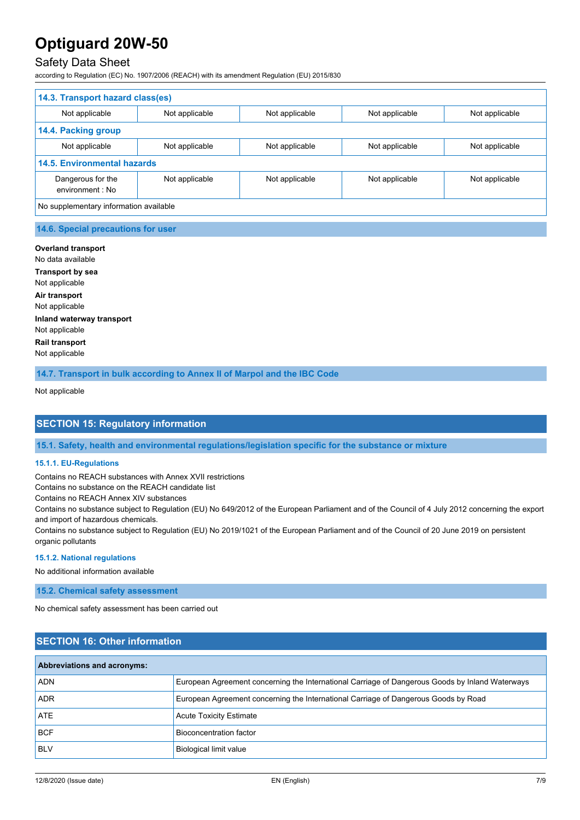## Safety Data Sheet

according to Regulation (EC) No. 1907/2006 (REACH) with its amendment Regulation (EU) 2015/830

| 14.3. Transport hazard class(es)       |                |                |                |                |
|----------------------------------------|----------------|----------------|----------------|----------------|
| Not applicable                         | Not applicable | Not applicable | Not applicable | Not applicable |
| 14.4. Packing group                    |                |                |                |                |
| Not applicable                         | Not applicable | Not applicable | Not applicable | Not applicable |
| <b>14.5. Environmental hazards</b>     |                |                |                |                |
| Dangerous for the<br>environment : No  | Not applicable | Not applicable | Not applicable | Not applicable |
| No supplementary information available |                |                |                |                |

#### **14.6. Special precautions for user**

## **Overland transport**

No data available **Transport by sea** Not applicable **Air transport** Not applicable **Inland waterway transport** Not applicable **Rail transport** Not applicable

**14.7. Transport in bulk according to Annex II of Marpol and the IBC Code**

Not applicable

## **SECTION 15: Regulatory information**

**15.1. Safety, health and environmental regulations/legislation specific for the substance or mixture**

#### **15.1.1. EU-Regulations**

Contains no REACH substances with Annex XVII restrictions

Contains no substance on the REACH candidate list

Contains no REACH Annex XIV substances

Contains no substance subject to Regulation (EU) No 649/2012 of the European Parliament and of the Council of 4 July 2012 concerning the export and import of hazardous chemicals.

Contains no substance subject to Regulation (EU) No 2019/1021 of the European Parliament and of the Council of 20 June 2019 on persistent organic pollutants

#### **15.1.2. National regulations**

No additional information available

**15.2. Chemical safety assessment**

No chemical safety assessment has been carried out

## **SECTION 16: Other information**

| <b>Abbreviations and acronyms:</b> |                                                                                                 |  |
|------------------------------------|-------------------------------------------------------------------------------------------------|--|
| <b>ADN</b>                         | European Agreement concerning the International Carriage of Dangerous Goods by Inland Waterways |  |
| <b>ADR</b>                         | European Agreement concerning the International Carriage of Dangerous Goods by Road             |  |
| ATE                                | <b>Acute Toxicity Estimate</b>                                                                  |  |
| <b>BCF</b>                         | Bioconcentration factor                                                                         |  |
| <b>BLV</b>                         | <b>Biological limit value</b>                                                                   |  |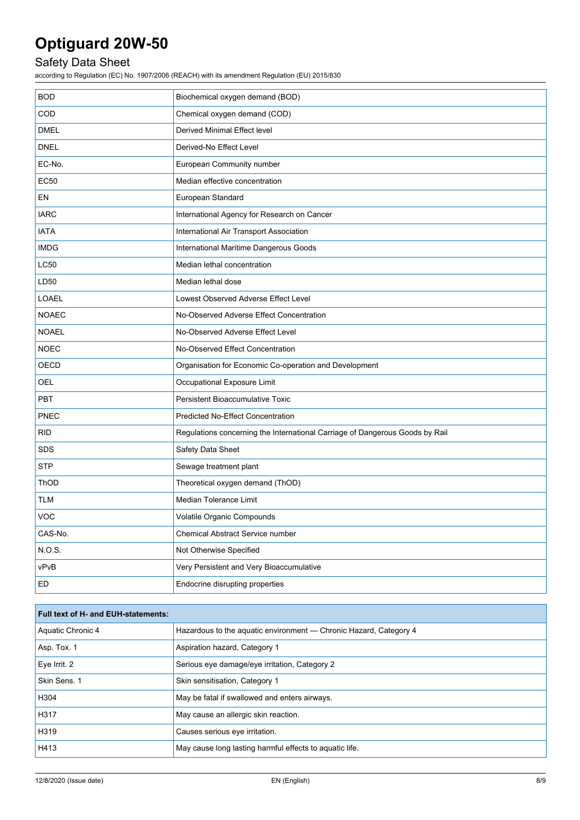## Safety Data Sheet

according to Regulation (EC) No. 1907/2006 (REACH) with its amendment Regulation (EU) 2015/830

| <b>BOD</b>   | Biochemical oxygen demand (BOD)                                              |
|--------------|------------------------------------------------------------------------------|
| COD          | Chemical oxygen demand (COD)                                                 |
| <b>DMEL</b>  | Derived Minimal Effect level                                                 |
| <b>DNEL</b>  | Derived-No Effect Level                                                      |
| EC-No.       | European Community number                                                    |
| <b>EC50</b>  | Median effective concentration                                               |
| EN           | European Standard                                                            |
| <b>IARC</b>  | International Agency for Research on Cancer                                  |
| <b>IATA</b>  | International Air Transport Association                                      |
| <b>IMDG</b>  | International Maritime Dangerous Goods                                       |
| <b>LC50</b>  | Median lethal concentration                                                  |
| LD50         | Median lethal dose                                                           |
| LOAEL        | Lowest Observed Adverse Effect Level                                         |
| <b>NOAEC</b> | No-Observed Adverse Effect Concentration                                     |
| <b>NOAEL</b> | No-Observed Adverse Effect Level                                             |
| <b>NOEC</b>  | No-Observed Effect Concentration                                             |
| OECD         | Organisation for Economic Co-operation and Development                       |
| OEL          | Occupational Exposure Limit                                                  |
| PBT          | Persistent Bioaccumulative Toxic                                             |
| <b>PNEC</b>  | <b>Predicted No-Effect Concentration</b>                                     |
| <b>RID</b>   | Regulations concerning the International Carriage of Dangerous Goods by Rail |
| <b>SDS</b>   | Safety Data Sheet                                                            |
| <b>STP</b>   | Sewage treatment plant                                                       |
| <b>ThOD</b>  | Theoretical oxygen demand (ThOD)                                             |
| <b>TLM</b>   | Median Tolerance Limit                                                       |
| VOC          | Volatile Organic Compounds                                                   |
| CAS-No.      | Chemical Abstract Service number                                             |
| NOS.         | Not Otherwise Specified                                                      |
| vPvB         | Very Persistent and Very Bioaccumulative                                     |
| ED           | Endocrine disrupting properties                                              |

| Full text of H- and EUH-statements: |                                                                   |  |
|-------------------------------------|-------------------------------------------------------------------|--|
| Aquatic Chronic 4                   | Hazardous to the aquatic environment - Chronic Hazard, Category 4 |  |
| Asp. Tox. 1                         | Aspiration hazard, Category 1                                     |  |
| Eye Irrit. 2                        | Serious eye damage/eye irritation, Category 2                     |  |
| Skin Sens. 1                        | Skin sensitisation, Category 1                                    |  |
| H304                                | May be fatal if swallowed and enters airways.                     |  |
| H317                                | May cause an allergic skin reaction.                              |  |
| H319                                | Causes serious eye irritation.                                    |  |
| H413                                | May cause long lasting harmful effects to aquatic life.           |  |